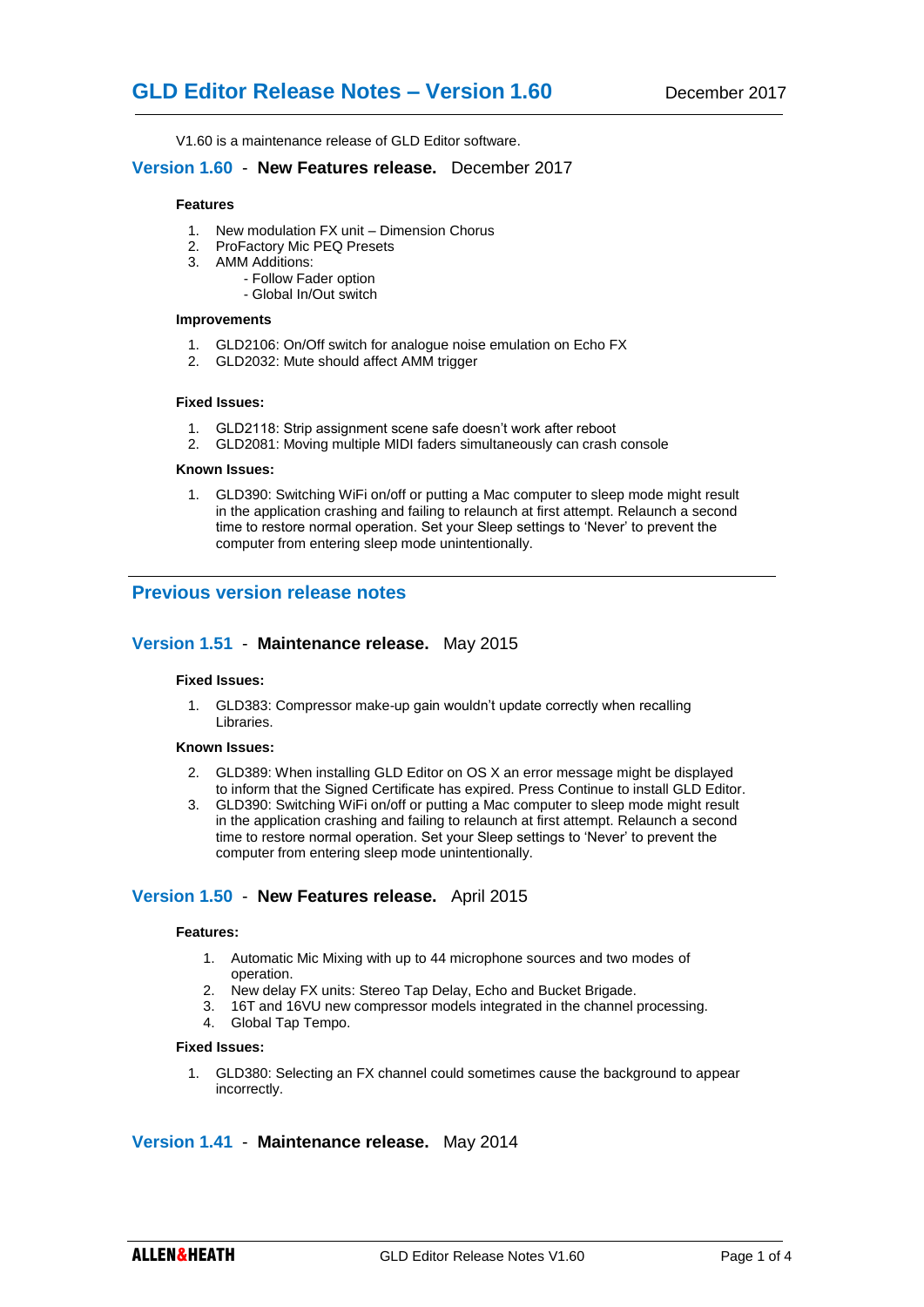V1.60 is a maintenance release of GLD Editor software.

## **Version 1.60** - **New Features release.** December 2017

#### **Features**

- 1. New modulation FX unit Dimension Chorus
- 2. ProFactory Mic PEQ Presets
- 3. AMM Additions:
	- Follow Fader option
	- Global In/Out switch

#### **Improvements**

- 1. GLD2106: On/Off switch for analogue noise emulation on Echo FX
- 2. GLD2032: Mute should affect AMM trigger

### **Fixed Issues:**

- 1. GLD2118: Strip assignment scene safe doesn't work after reboot
- 2. GLD2081: Moving multiple MIDI faders simultaneously can crash console

#### **Known Issues:**

1. GLD390: Switching WiFi on/off or putting a Mac computer to sleep mode might result in the application crashing and failing to relaunch at first attempt. Relaunch a second time to restore normal operation. Set your Sleep settings to 'Never' to prevent the computer from entering sleep mode unintentionally.

## **Previous version release notes**

### **Version 1.51** - **Maintenance release.** May 2015

### **Fixed Issues:**

1. GLD383: Compressor make-up gain wouldn't update correctly when recalling Libraries.

## **Known Issues:**

- 2. GLD389: When installing GLD Editor on OS X an error message might be displayed to inform that the Signed Certificate has expired. Press Continue to install GLD Editor.
- 3. GLD390: Switching WiFi on/off or putting a Mac computer to sleep mode might result in the application crashing and failing to relaunch at first attempt. Relaunch a second time to restore normal operation. Set your Sleep settings to 'Never' to prevent the computer from entering sleep mode unintentionally.

## **Version 1.50** - **New Features release.** April 2015

#### **Features:**

- 1. Automatic Mic Mixing with up to 44 microphone sources and two modes of operation.
- 2. New delay FX units: Stereo Tap Delay, Echo and Bucket Brigade.
- 3. 16T and 16VU new compressor models integrated in the channel processing.
- 4. Global Tap Tempo.

### **Fixed Issues:**

1. GLD380: Selecting an FX channel could sometimes cause the background to appear incorrectly.

## **Version 1.41** - **Maintenance release.** May 2014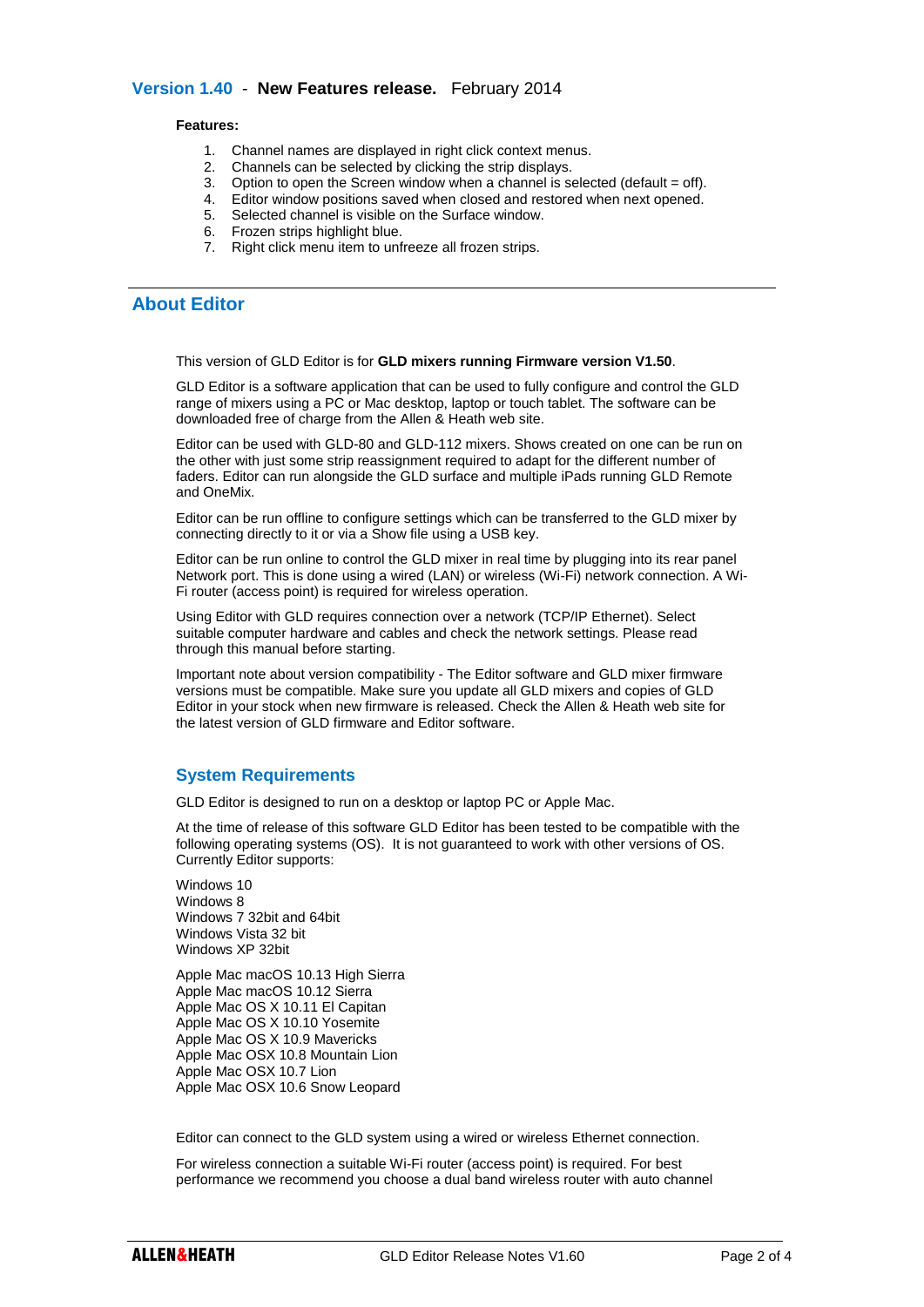## **Version 1.40** - **New Features release.** February 2014

#### **Features:**

- 1. Channel names are displayed in right click context menus.
- 2. Channels can be selected by clicking the strip displays.
- 3. Option to open the Screen window when a channel is selected (default  $=$  off).
- 4. Editor window positions saved when closed and restored when next opened.
- 5. Selected channel is visible on the Surface window.
- 6. Frozen strips highlight blue.
- 7. Right click menu item to unfreeze all frozen strips.

# **About Editor**

This version of GLD Editor is for **GLD mixers running Firmware version V1.50**.

GLD Editor is a software application that can be used to fully configure and control the GLD range of mixers using a PC or Mac desktop, laptop or touch tablet. The software can be downloaded free of charge from the Allen & Heath web site.

Editor can be used with GLD-80 and GLD-112 mixers. Shows created on one can be run on the other with just some strip reassignment required to adapt for the different number of faders. Editor can run alongside the GLD surface and multiple iPads running GLD Remote and OneMix.

Editor can be run offline to configure settings which can be transferred to the GLD mixer by connecting directly to it or via a Show file using a USB key.

Editor can be run online to control the GLD mixer in real time by plugging into its rear panel Network port. This is done using a wired (LAN) or wireless (Wi-Fi) network connection. A Wi-Fi router (access point) is required for wireless operation.

Using Editor with GLD requires connection over a network (TCP/IP Ethernet). Select suitable computer hardware and cables and check the network settings. Please read through this manual before starting.

Important note about version compatibility - The Editor software and GLD mixer firmware versions must be compatible. Make sure you update all GLD mixers and copies of GLD Editor in your stock when new firmware is released. Check the Allen & Heath web site for the latest version of GLD firmware and Editor software.

## **System Requirements**

GLD Editor is designed to run on a desktop or laptop PC or Apple Mac.

At the time of release of this software GLD Editor has been tested to be compatible with the following operating systems (OS). It is not guaranteed to work with other versions of OS. Currently Editor supports:

Windows 10 Windows 8 Windows 7 32bit and 64bit Windows Vista 32 bit Windows XP 32bit

Apple Mac macOS 10.13 High Sierra Apple Mac macOS 10.12 Sierra Apple Mac OS X 10.11 El Capitan Apple Mac OS X 10.10 Yosemite Apple Mac OS X 10.9 Mavericks Apple Mac OSX 10.8 Mountain Lion Apple Mac OSX 10.7 Lion Apple Mac OSX 10.6 Snow Leopard

Editor can connect to the GLD system using a wired or wireless Ethernet connection.

For wireless connection a suitable Wi-Fi router (access point) is required. For best performance we recommend you choose a dual band wireless router with auto channel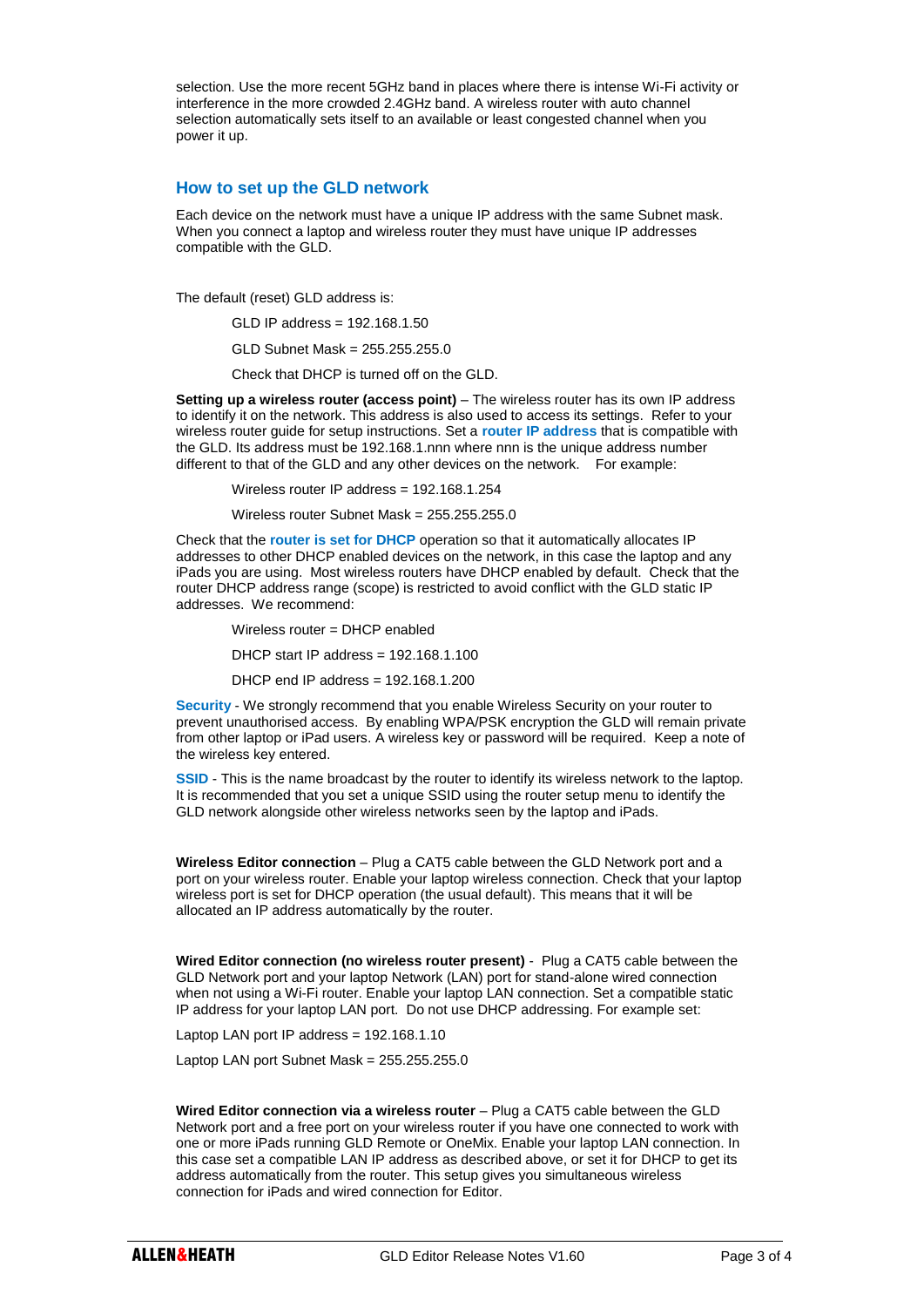selection. Use the more recent 5GHz band in places where there is intense Wi-Fi activity or interference in the more crowded 2.4GHz band. A wireless router with auto channel selection automatically sets itself to an available or least congested channel when you power it up.

## **How to set up the GLD network**

Each device on the network must have a unique IP address with the same Subnet mask. When you connect a laptop and wireless router they must have unique IP addresses compatible with the GLD.

The default (reset) GLD address is:

GLD IP address = 192.168.1.50

GLD Subnet Mask = 255.255.255.0

Check that DHCP is turned off on the GLD.

**Setting up a wireless router (access point)** – The wireless router has its own IP address to identify it on the network. This address is also used to access its settings. Refer to your wireless router guide for setup instructions. Set a **router IP address** that is compatible with the GLD. Its address must be 192.168.1.nnn where nnn is the unique address number different to that of the GLD and any other devices on the network. For example:

Wireless router IP address = 192.168.1.254

Wireless router Subnet Mask = 255.255.255.0

Check that the **router is set for DHCP** operation so that it automatically allocates IP addresses to other DHCP enabled devices on the network, in this case the laptop and any iPads you are using. Most wireless routers have DHCP enabled by default. Check that the router DHCP address range (scope) is restricted to avoid conflict with the GLD static IP addresses. We recommend:

Wireless router = DHCP enabled DHCP start IP address = 192.168.1.100 DHCP end IP address = 192.168.1.200

**Security** - We strongly recommend that you enable Wireless Security on your router to prevent unauthorised access. By enabling WPA/PSK encryption the GLD will remain private from other laptop or iPad users. A wireless key or password will be required. Keep a note of the wireless key entered.

**SSID** - This is the name broadcast by the router to identify its wireless network to the laptop. It is recommended that you set a unique SSID using the router setup menu to identify the GLD network alongside other wireless networks seen by the laptop and iPads.

**Wireless Editor connection** – Plug a CAT5 cable between the GLD Network port and a port on your wireless router. Enable your laptop wireless connection. Check that your laptop wireless port is set for DHCP operation (the usual default). This means that it will be allocated an IP address automatically by the router.

**Wired Editor connection (no wireless router present)** - Plug a CAT5 cable between the GLD Network port and your laptop Network (LAN) port for stand-alone wired connection when not using a Wi-Fi router. Enable your laptop LAN connection. Set a compatible static IP address for your laptop LAN port. Do not use DHCP addressing. For example set:

Laptop LAN port IP address = 192.168.1.10

Laptop LAN port Subnet Mask = 255.255.255.0

**Wired Editor connection via a wireless router** – Plug a CAT5 cable between the GLD Network port and a free port on your wireless router if you have one connected to work with one or more iPads running GLD Remote or OneMix. Enable your laptop LAN connection. In this case set a compatible LAN IP address as described above, or set it for DHCP to get its address automatically from the router. This setup gives you simultaneous wireless connection for iPads and wired connection for Editor.